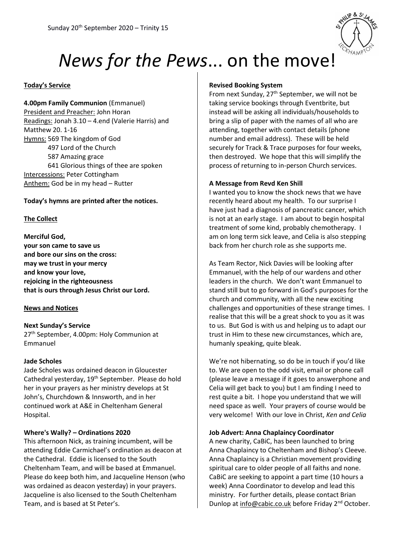

# *News for the Pews*... on the move!

# **Today's Service**

**4.00pm Family Communion** (Emmanuel) President and Preacher: John Horan Readings: Jonah 3.10 – 4.end (Valerie Harris) and Matthew 20. 1-16 Hymns: 569 The kingdom of God 497 Lord of the Church 587 Amazing grace 641 Glorious things of thee are spoken Intercessions: Peter Cottingham Anthem: God be in my head – Rutter

# **Today's hymns are printed after the notices.**

## **The Collect**

**Merciful God, your son came to save us and bore our sins on the cross: may we trust in your mercy and know your love, rejoicing in the righteousness that is ours through Jesus Christ our Lord.**

# **News and Notices**

#### **Next Sunday's Service** 27<sup>th</sup> September, 4.00pm: Holy Communion at Emmanuel

#### **Jade Scholes**

Jade Scholes was ordained deacon in Gloucester Cathedral yesterday, 19<sup>th</sup> September. Please do hold her in your prayers as her ministry develops at St John's, Churchdown & Innsworth, and in her continued work at A&E in Cheltenham General Hospital.

# **Where's Wally? – Ordinations 2020**

This afternoon Nick, as training incumbent, will be attending Eddie Carmichael's ordination as deacon at the Cathedral. Eddie is licensed to the South Cheltenham Team, and will be based at Emmanuel. Please do keep both him, and Jacqueline Henson (who was ordained as deacon yesterday) in your prayers. Jacqueline is also licensed to the South Cheltenham Team, and is based at St Peter's.

## **Revised Booking System**

From next Sunday,  $27<sup>th</sup>$  September, we will not be taking service bookings through Eventbrite, but instead will be asking all individuals/households to bring a slip of paper with the names of all who are attending, together with contact details (phone number and email address). These will be held securely for Track & Trace purposes for four weeks, then destroyed. We hope that this will simplify the process of returning to in-person Church services.

# **A Message from Revd Ken Shill**

I wanted you to know the shock news that we have recently heard about my health. To our surprise I have just had a diagnosis of pancreatic cancer, which is not at an early stage. I am about to begin hospital treatment of some kind, probably chemotherapy. I am on long term sick leave, and Celia is also stepping back from her church role as she supports me.

As Team Rector, Nick Davies will be looking after Emmanuel, with the help of our wardens and other leaders in the church. We don't want Emmanuel to stand still but to go forward in God's purposes for the church and community, with all the new exciting challenges and opportunities of these strange times. I realise that this will be a great shock to you as it was to us. But God is with us and helping us to adapt our trust in Him to these new circumstances, which are, humanly speaking, quite bleak.

We're not hibernating, so do be in touch if you'd like to. We are open to the odd visit, email or phone call (please leave a message if it goes to answerphone and Celia will get back to you) but I am finding I need to rest quite a bit. I hope you understand that we will need space as well. Your prayers of course would be very welcome! With our love in Christ, *Ken and Celia*

#### **Job Advert: Anna Chaplaincy Coordinator**

A new charity, CaBiC, has been launched to bring Anna Chaplaincy to Cheltenham and Bishop's Cleeve. Anna Chaplaincy is a Christian movement providing spiritual care to older people of all faiths and none. CaBiC are seeking to appoint a part time (10 hours a week) Anna Coordinator to develop and lead this ministry. For further details, please contact Brian Dunlop a[t info@cabic.co.uk](mailto:info@cabic.co.uk) before Friday 2<sup>nd</sup> October.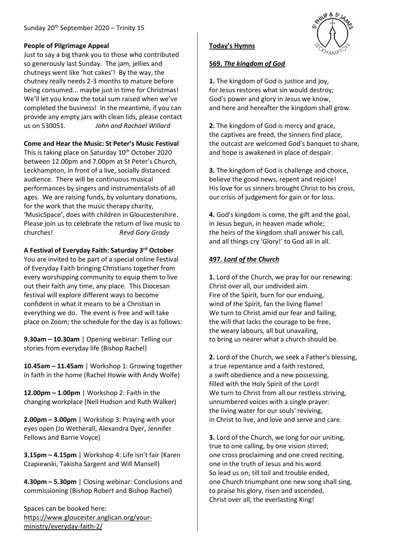## **People of Pilgrimage Appeal**

Just to say a big thank you to those who contributed so generously last Sunday. The jam, jellies and chutneys went like 'hot cakes'! By the way, the chutney really needs 2-3 months to mature before being consumed... maybe just in time for Christmas! We'll let you know the total sum raised when we've completed the business! In the meantime, if you can provide any empty jars with clean lids, please contact us o[n 530051.](tel:530051) *John and Rachael Willard*

# **Come and Hear the Music: St Peter's Music Festival**

This is taking place on Saturday 10<sup>th</sup> October 2020 between 12.00pm and 7.00pm at St Peter's Church, Leckhampton, in front of a live, socially distanced audience. There will be continuous musical performances by singers and instrumentalists of all ages. We are raising funds, by voluntary donations, for the work that the music therapy charity, 'MusicSpace', does with children in Gloucestershire. Please join us to celebrate the return of live music to churches! *Revd Gary Grady*

# **A Festival of Everyday Faith: Saturday 3rd October**

You are invited to be part of a special online Festival of Everyday Faith bringing Christians together from every worshipping community to equip them to live out their faith any time, any place. This Diocesan festival will explore different ways to become confident in what it means to be a Christian in everything we do. The event is free and will take place on Zoom; the schedule for the day is as follows:

**9.30am – 10.30am** | Opening webinar: Telling our stories from everyday life (Bishop Rachel)

**10.45am – 11.45am** | Workshop 1: Growing together in faith in the home (Rachel Howie with Andy Wolfe)

**12.00pm – 1.00pm** | Workshop 2: Faith in the changing workplace (Neil Hudson and Ruth Walker)

**2.00pm – 3.00pm** | Workshop 3: Praying with your eyes open (Jo Wetherall, Alexandra Dyer, Jennifer Fellows and Barrie Voyce)

**3.15pm – 4.15pm** | Workshop 4: Life isn't fair (Karen Czapiewski, Takisha Sargent and Will Mansell)

**4.30pm – 5.30pm** | Closing webinar: Conclusions and commissioning (Bishop Robert and Bishop Rachel)

Spaces can be booked here: [https://www.gloucester.anglican.org/your](https://www.gloucester.anglican.org/your-ministry/everyday-faith-2/)[ministry/everyday-faith-2/](https://www.gloucester.anglican.org/your-ministry/everyday-faith-2/)

# **Today's Hymns**



## **569.** *The kingdom of God*

**1.** The kingdom of God is justice and joy, for Jesus restores what sin would destroy; God's power and glory in Jesus we know, and here and hereafter the kingdom shall grow.

**2.** The kingdom of God is mercy and grace, the captives are freed, the sinners find place, the outcast are welcomed God's banquet to share, and hope is awakened in place of despair.

**3.** The kingdom of God is challenge and choice, believe the good news, repent and rejoice! His love for us sinners brought Christ to his cross, our crisis of judgement for gain or for loss.

**4.** God's kingdom is come, the gift and the goal, in Jesus begun, in heaven made whole; the heirs of the kingdom shall answer his call, and all things cry 'Glory!' to God all in all.

# **497.** *Lord of the Church*

**1.** Lord of the Church, we pray for our renewing: Christ over all, our undivided aim. Fire of the Spirit, burn for our enduing, wind of the Spirit, fan the living flame! We turn to Christ amid our fear and failing, the will that lacks the courage to be free, the weary labours, all but unavailing, to bring us nearer what a church should be.

**2.** Lord of the Church, we seek a Father's blessing, a true repentance and a faith restored, a swift obedience and a new possessing, filled with the Holy Spirit of the Lord! We turn to Christ from all our restless striving, unnumbered voices with a single prayer: the living water for our souls' reviving, in Christ to live, and love and serve and care.

**3.** Lord of the Church, we long for our uniting, true to one calling, by one vision stirred; one cross proclaiming and one creed reciting, one in the truth of Jesus and his word. So lead us on; till toil and trouble ended, one Church triumphant one new song shall sing, to praise his glory, risen and ascended, Christ over all, the everlasting King!